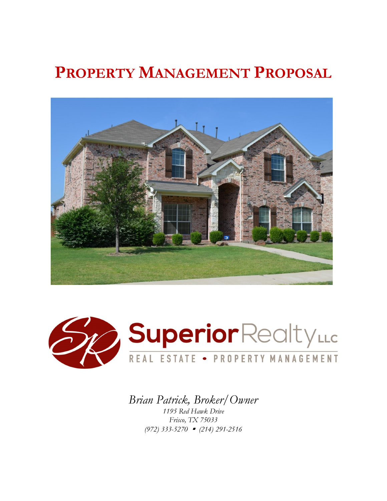# **PROPERTY MANAGEMENT PROPOSAL**





*Brian Patrick, Broker/Owner 1195 Red Hawk Drive Frisco, TX 75033* 

*(972) 333-5270* • *(214) 291-2516*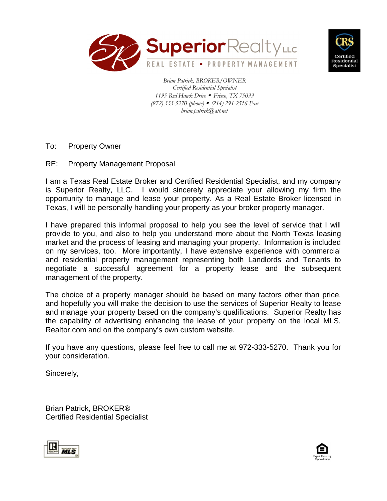



*Brian Patrick, BROKER/OWNER Certified Residential Specialist 1195 Red Hawk Drive* • *Frisco, TX 75033 (972) 333-5270 (phone)* • *(214) 291-2516 Fax brian.patrick@att.net*

- To: Property Owner
- RE: Property Management Proposal

I am a Texas Real Estate Broker and Certified Residential Specialist, and my company is Superior Realty, LLC. I would sincerely appreciate your allowing my firm the opportunity to manage and lease your property. As a Real Estate Broker licensed in Texas, I will be personally handling your property as your broker property manager.

I have prepared this informal proposal to help you see the level of service that I will provide to you, and also to help you understand more about the North Texas leasing market and the process of leasing and managing your property. Information is included on my services, too. More importantly, I have extensive experience with commercial and residential property management representing both Landlords and Tenants to negotiate a successful agreement for a property lease and the subsequent management of the property.

The choice of a property manager should be based on many factors other than price, and hopefully you will make the decision to use the services of Superior Realty to lease and manage your property based on the company's qualifications. Superior Realty has the capability of advertising enhancing the lease of your property on the local MLS, Realtor.com and on the company's own custom website.

If you have any questions, please feel free to call me at 972-333-5270. Thank you for your consideration.

Sincerely,

Brian Patrick, BROKER® Certified Residential Specialist



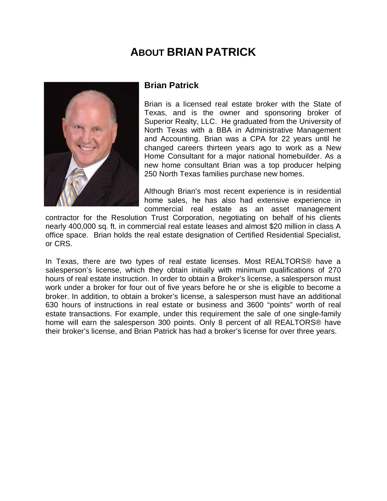## **ABOUT BRIAN PATRICK**



### **Brian Patrick**

Brian is a licensed real estate broker with the State of Texas, and is the owner and sponsoring broker of Superior Realty, LLC. He graduated from the University of North Texas with a BBA in Administrative Management and Accounting. Brian was a CPA for 22 years until he changed careers thirteen years ago to work as a New Home Consultant for a major national homebuilder. As a new home consultant Brian was a top producer helping 250 North Texas families purchase new homes.

Although Brian's most recent experience is in residential home sales, he has also had extensive experience in commercial real estate as an asset management

contractor for the Resolution Trust Corporation, negotiating on behalf of his clients nearly 400,000 sq. ft. in commercial real estate leases and almost \$20 million in class A office space. Brian holds the real estate designation of Certified Residential Specialist, or CRS.

In Texas, there are two types of real estate licenses. Most REALTORS® have a salesperson's license, which they obtain initially with minimum qualifications of 270 hours of real estate instruction. In order to obtain a Broker's license, a salesperson must work under a broker for four out of five years before he or she is eligible to become a broker. In addition, to obtain a broker's license, a salesperson must have an additional 630 hours of instructions in real estate or business and 3600 "points" worth of real estate transactions. For example, under this requirement the sale of one single-family home will earn the salesperson 300 points. Only 8 percent of all REALTORS® have their broker's license, and Brian Patrick has had a broker's license for over three years.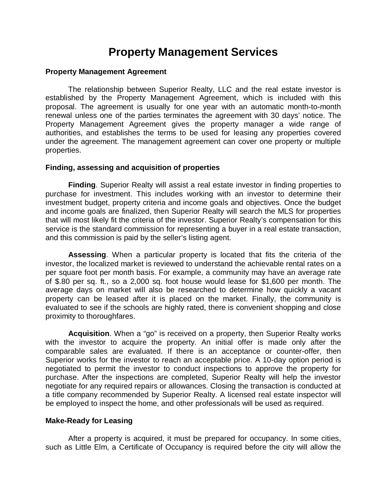### **Property Management Services**

#### **Property Management Agreement**

The relationship between Superior Realty, LLC and the real estate investor is established by the Property Management Agreement, which is included with this proposal. The agreement is usually for one year with an automatic month-to-month renewal unless one of the parties terminates the agreement with 30 days' notice. The Property Management Agreement gives the property manager a wide range of authorities, and establishes the terms to be used for leasing any properties covered under the agreement. The management agreement can cover one property or multiple properties.

#### **Finding, assessing and acquisition of properties**

**Finding**. Superior Realty will assist a real estate investor in finding properties to purchase for investment. This includes working with an investor to determine their investment budget, property criteria and income goals and objectives. Once the budget and income goals are finalized, then Superior Realty will search the MLS for properties that will most likely fit the criteria of the investor. Superior Realty's compensation for this service is the standard commission for representing a buyer in a real estate transaction, and this commission is paid by the seller's listing agent.

**Assessing**. When a particular property is located that fits the criteria of the investor, the localized market is reviewed to understand the achievable rental rates on a per square foot per month basis. For example, a community may have an average rate of \$.80 per sq. ft., so a 2,000 sq. foot house would lease for \$1,600 per month. The average days on market will also be researched to determine how quickly a vacant property can be leased after it is placed on the market. Finally, the community is evaluated to see if the schools are highly rated, there is convenient shopping and close proximity to thoroughfares.

**Acquisition**. When a "go" is received on a property, then Superior Realty works with the investor to acquire the property. An initial offer is made only after the comparable sales are evaluated. If there is an acceptance or counter-offer, then Superior works for the investor to reach an acceptable price. A 10-day option period is negotiated to permit the investor to conduct inspections to approve the property for purchase. After the inspections are completed, Superior Realty will help the investor negotiate for any required repairs or allowances. Closing the transaction is conducted at a title company recommended by Superior Realty. A licensed real estate inspector will be employed to inspect the home, and other professionals will be used as required.

#### **Make-Ready for Leasing**

After a property is acquired, it must be prepared for occupancy. In some cities, such as Little Elm, a Certificate of Occupancy is required before the city will allow the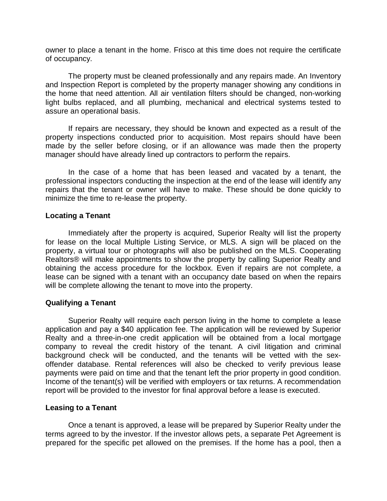owner to place a tenant in the home. Frisco at this time does not require the certificate of occupancy.

 The property must be cleaned professionally and any repairs made. An Inventory and Inspection Report is completed by the property manager showing any conditions in the home that need attention. All air ventilation filters should be changed, non-working light bulbs replaced, and all plumbing, mechanical and electrical systems tested to assure an operational basis.

 If repairs are necessary, they should be known and expected as a result of the property inspections conducted prior to acquisition. Most repairs should have been made by the seller before closing, or if an allowance was made then the property manager should have already lined up contractors to perform the repairs.

 In the case of a home that has been leased and vacated by a tenant, the professional inspectors conducting the inspection at the end of the lease will identify any repairs that the tenant or owner will have to make. These should be done quickly to minimize the time to re-lease the property.

#### **Locating a Tenant**

 Immediately after the property is acquired, Superior Realty will list the property for lease on the local Multiple Listing Service, or MLS. A sign will be placed on the property, a virtual tour or photographs will also be published on the MLS. Cooperating Realtors® will make appointments to show the property by calling Superior Realty and obtaining the access procedure for the lockbox. Even if repairs are not complete, a lease can be signed with a tenant with an occupancy date based on when the repairs will be complete allowing the tenant to move into the property.

#### **Qualifying a Tenant**

 Superior Realty will require each person living in the home to complete a lease application and pay a \$40 application fee. The application will be reviewed by Superior Realty and a three-in-one credit application will be obtained from a local mortgage company to reveal the credit history of the tenant. A civil litigation and criminal background check will be conducted, and the tenants will be vetted with the sexoffender database. Rental references will also be checked to verify previous lease payments were paid on time and that the tenant left the prior property in good condition. Income of the tenant(s) will be verified with employers or tax returns. A recommendation report will be provided to the investor for final approval before a lease is executed.

#### **Leasing to a Tenant**

 Once a tenant is approved, a lease will be prepared by Superior Realty under the terms agreed to by the investor. If the investor allows pets, a separate Pet Agreement is prepared for the specific pet allowed on the premises. If the home has a pool, then a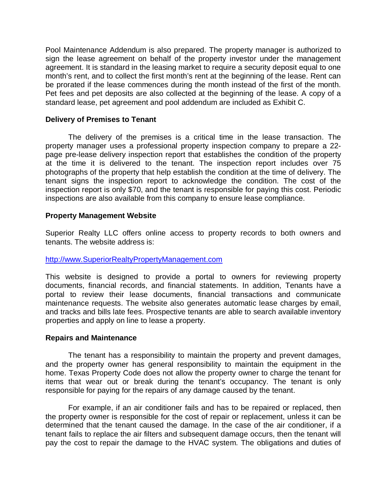Pool Maintenance Addendum is also prepared. The property manager is authorized to sign the lease agreement on behalf of the property investor under the management agreement. It is standard in the leasing market to require a security deposit equal to one month's rent, and to collect the first month's rent at the beginning of the lease. Rent can be prorated if the lease commences during the month instead of the first of the month. Pet fees and pet deposits are also collected at the beginning of the lease. A copy of a standard lease, pet agreement and pool addendum are included as Exhibit C.

#### **Delivery of Premises to Tenant**

 The delivery of the premises is a critical time in the lease transaction. The property manager uses a professional property inspection company to prepare a 22 page pre-lease delivery inspection report that establishes the condition of the property at the time it is delivered to the tenant. The inspection report includes over 75 photographs of the property that help establish the condition at the time of delivery. The tenant signs the inspection report to acknowledge the condition. The cost of the inspection report is only \$70, and the tenant is responsible for paying this cost. Periodic inspections are also available from this company to ensure lease compliance.

#### **Property Management Website**

Superior Realty LLC offers online access to property records to both owners and tenants. The website address is:

#### http://www.SuperiorRealtyPropertyManagement.com

This website is designed to provide a portal to owners for reviewing property documents, financial records, and financial statements. In addition, Tenants have a portal to review their lease documents, financial transactions and communicate maintenance requests. The website also generates automatic lease charges by email, and tracks and bills late fees. Prospective tenants are able to search available inventory properties and apply on line to lease a property.

#### **Repairs and Maintenance**

 The tenant has a responsibility to maintain the property and prevent damages, and the property owner has general responsibility to maintain the equipment in the home. Texas Property Code does not allow the property owner to charge the tenant for items that wear out or break during the tenant's occupancy. The tenant is only responsible for paying for the repairs of any damage caused by the tenant.

For example, if an air conditioner fails and has to be repaired or replaced, then the property owner is responsible for the cost of repair or replacement, unless it can be determined that the tenant caused the damage. In the case of the air conditioner, if a tenant fails to replace the air filters and subsequent damage occurs, then the tenant will pay the cost to repair the damage to the HVAC system. The obligations and duties of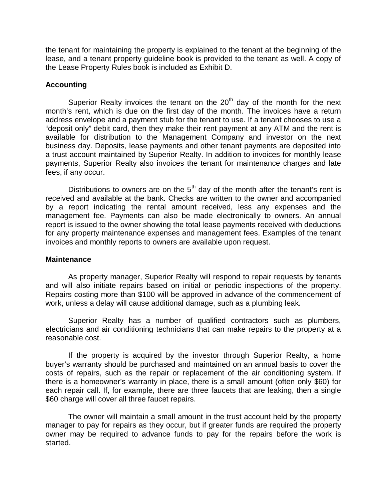the tenant for maintaining the property is explained to the tenant at the beginning of the lease, and a tenant property guideline book is provided to the tenant as well. A copy of the Lease Property Rules book is included as Exhibit D.

#### **Accounting**

Superior Realty invoices the tenant on the  $20<sup>th</sup>$  day of the month for the next month's rent, which is due on the first day of the month. The invoices have a return address envelope and a payment stub for the tenant to use. If a tenant chooses to use a "deposit only" debit card, then they make their rent payment at any ATM and the rent is available for distribution to the Management Company and investor on the next business day. Deposits, lease payments and other tenant payments are deposited into a trust account maintained by Superior Realty. In addition to invoices for monthly lease payments, Superior Realty also invoices the tenant for maintenance charges and late fees, if any occur.

Distributions to owners are on the  $5<sup>th</sup>$  day of the month after the tenant's rent is received and available at the bank. Checks are written to the owner and accompanied by a report indicating the rental amount received, less any expenses and the management fee. Payments can also be made electronically to owners. An annual report is issued to the owner showing the total lease payments received with deductions for any property maintenance expenses and management fees. Examples of the tenant invoices and monthly reports to owners are available upon request.

#### **Maintenance**

As property manager, Superior Realty will respond to repair requests by tenants and will also initiate repairs based on initial or periodic inspections of the property. Repairs costing more than \$100 will be approved in advance of the commencement of work, unless a delay will cause additional damage, such as a plumbing leak.

Superior Realty has a number of qualified contractors such as plumbers, electricians and air conditioning technicians that can make repairs to the property at a reasonable cost.

If the property is acquired by the investor through Superior Realty, a home buyer's warranty should be purchased and maintained on an annual basis to cover the costs of repairs, such as the repair or replacement of the air conditioning system. If there is a homeowner's warranty in place, there is a small amount (often only \$60) for each repair call. If, for example, there are three faucets that are leaking, then a single \$60 charge will cover all three faucet repairs.

The owner will maintain a small amount in the trust account held by the property manager to pay for repairs as they occur, but if greater funds are required the property owner may be required to advance funds to pay for the repairs before the work is started.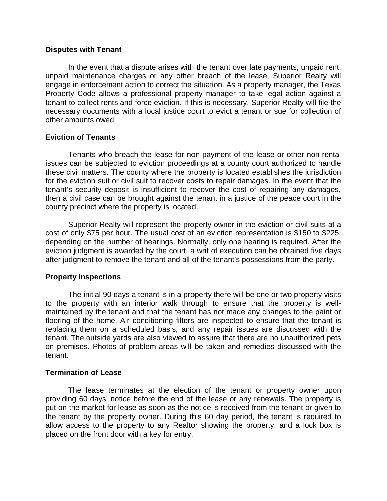#### **Disputes with Tenant**

In the event that a dispute arises with the tenant over late payments, unpaid rent, unpaid maintenance charges or any other breach of the lease, Superior Realty will engage in enforcement action to correct the situation. As a property manager, the Texas Property Code allows a professional property manager to take legal action against a tenant to collect rents and force eviction. If this is necessary, Superior Realty will file the necessary documents with a local justice court to evict a tenant or sue for collection of other amounts owed.

#### **Eviction of Tenants**

 Tenants who breach the lease for non-payment of the lease or other non-rental issues can be subjected to eviction proceedings at a county court authorized to handle these civil matters. The county where the property is located establishes the jurisdiction for the eviction suit or civil suit to recover costs to repair damages. In the event that the tenant's security deposit is insufficient to recover the cost of repairing any damages, then a civil case can be brought against the tenant in a justice of the peace court in the county precinct where the property is located.

 Superior Realty will represent the property owner in the eviction or civil suits at a cost of only \$75 per hour. The usual cost of an eviction representation is \$150 to \$225, depending on the number of hearings. Normally, only one hearing is required. After the eviction judgment is awarded by the court, a writ of execution can be obtained five days after judgment to remove the tenant and all of the tenant's possessions from the party.

#### **Property Inspections**

 The initial 90 days a tenant is in a property there will be one or two property visits to the property with an interior walk through to ensure that the property is wellmaintained by the tenant and that the tenant has not made any changes to the paint or flooring of the home. Air conditioning filters are inspected to ensure that the tenant is replacing them on a scheduled basis, and any repair issues are discussed with the tenant. The outside yards are also viewed to assure that there are no unauthorized pets on premises. Photos of problem areas will be taken and remedies discussed with the tenant.

#### **Termination of Lease**

 The lease terminates at the election of the tenant or property owner upon providing 60 days' notice before the end of the lease or any renewals. The property is put on the market for lease as soon as the notice is received from the tenant or given to the tenant by the property owner. During this 60 day period, the tenant is required to allow access to the property to any Realtor showing the property, and a lock box is placed on the front door with a key for entry.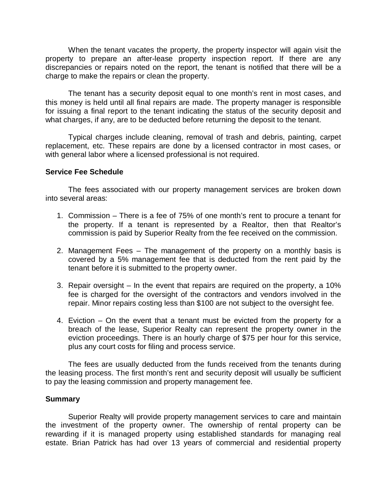When the tenant vacates the property, the property inspector will again visit the property to prepare an after-lease property inspection report. If there are any discrepancies or repairs noted on the report, the tenant is notified that there will be a charge to make the repairs or clean the property.

 The tenant has a security deposit equal to one month's rent in most cases, and this money is held until all final repairs are made. The property manager is responsible for issuing a final report to the tenant indicating the status of the security deposit and what charges, if any, are to be deducted before returning the deposit to the tenant.

 Typical charges include cleaning, removal of trash and debris, painting, carpet replacement, etc. These repairs are done by a licensed contractor in most cases, or with general labor where a licensed professional is not required.

#### **Service Fee Schedule**

 The fees associated with our property management services are broken down into several areas:

- 1. Commission There is a fee of 75% of one month's rent to procure a tenant for the property. If a tenant is represented by a Realtor, then that Realtor's commission is paid by Superior Realty from the fee received on the commission.
- 2. Management Fees The management of the property on a monthly basis is covered by a 5% management fee that is deducted from the rent paid by the tenant before it is submitted to the property owner.
- 3. Repair oversight In the event that repairs are required on the property, a 10% fee is charged for the oversight of the contractors and vendors involved in the repair. Minor repairs costing less than \$100 are not subject to the oversight fee.
- 4. Eviction On the event that a tenant must be evicted from the property for a breach of the lease, Superior Realty can represent the property owner in the eviction proceedings. There is an hourly charge of \$75 per hour for this service, plus any court costs for filing and process service.

The fees are usually deducted from the funds received from the tenants during the leasing process. The first month's rent and security deposit will usually be sufficient to pay the leasing commission and property management fee.

#### **Summary**

 Superior Realty will provide property management services to care and maintain the investment of the property owner. The ownership of rental property can be rewarding if it is managed property using established standards for managing real estate. Brian Patrick has had over 13 years of commercial and residential property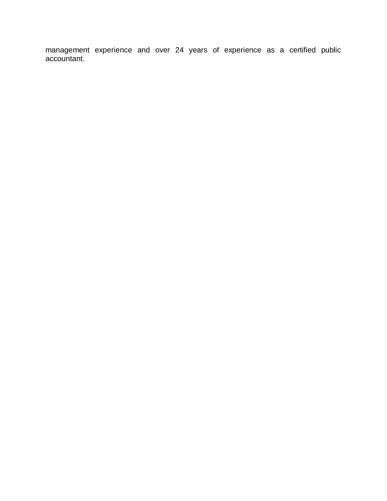management experience and over 24 years of experience as a certified public accountant.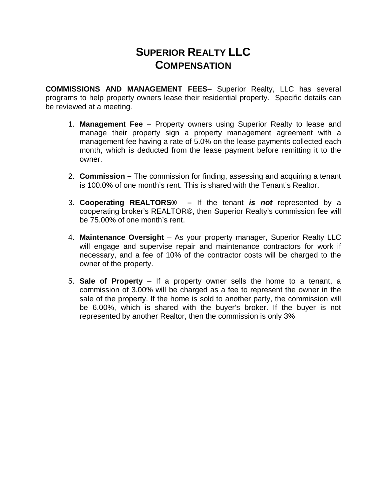### **SUPERIOR REALTY LLC COMPENSATION**

**COMMISSIONS AND MANAGEMENT FEES**– Superior Realty, LLC has several programs to help property owners lease their residential property. Specific details can be reviewed at a meeting.

- 1. **Management Fee** Property owners using Superior Realty to lease and manage their property sign a property management agreement with a management fee having a rate of 5.0% on the lease payments collected each month, which is deducted from the lease payment before remitting it to the owner.
- 2. **Commission** The commission for finding, assessing and acquiring a tenant is 100.0% of one month's rent. This is shared with the Tenant's Realtor.
- 3. **Cooperating REALTORS®** If the tenant **is not** represented by a cooperating broker's REALTOR®, then Superior Realty's commission fee will be 75.00% of one month's rent.
- 4. **Maintenance Oversight** As your property manager, Superior Realty LLC will engage and supervise repair and maintenance contractors for work if necessary, and a fee of 10% of the contractor costs will be charged to the owner of the property.
- 5. **Sale of Property** If a property owner sells the home to a tenant, a commission of 3.00% will be charged as a fee to represent the owner in the sale of the property. If the home is sold to another party, the commission will be 6.00%, which is shared with the buyer's broker. If the buyer is not represented by another Realtor, then the commission is only 3%